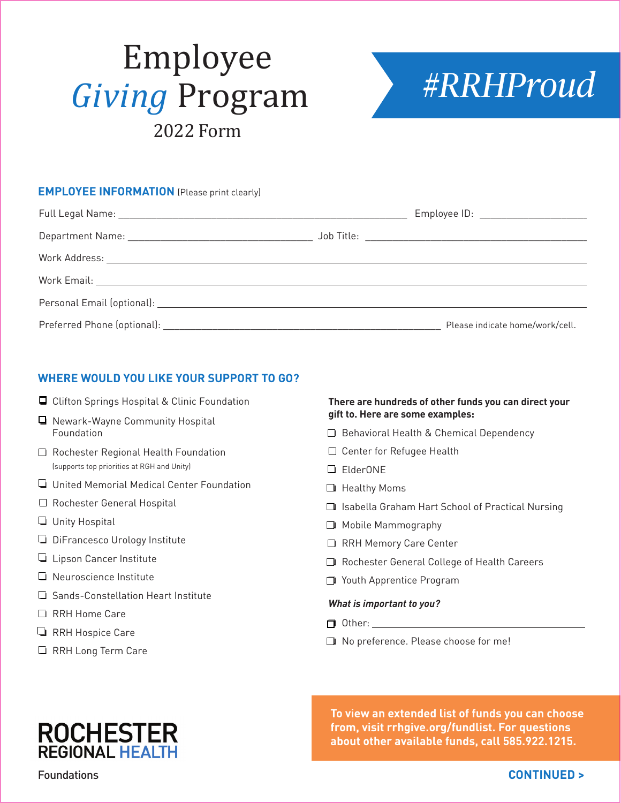# *#RRHProud* Employee *Giving* Program 2022 Form



# **EMPLOYEE INFORMATION** (Please print clearly)

|  | Employee ID: ______________________ |
|--|-------------------------------------|
|  |                                     |
|  |                                     |
|  |                                     |
|  |                                     |
|  | Please indicate home/work/cell.     |

## **WHERE WOULD YOU LIKE YOUR SUPPORT TO GO?**

- **□** Clifton Springs Hospital & Clinic Foundation
- $\Box$  Newark-Wayne Community Hospital Foundation
- $\Box$  Rochester Regional Health Foundation (supports top priorities at RGH and Unity)
- $\Box$  United Memorial Medical Center Foundation
- $\Box$  Rochester General Hospital
- $\Box$  Unity Hospital
- $\Box$  DiFrancesco Urology Institute
- Lipson Cancer Institute
- $\Box$  Neuroscience Institute
- o Sands-Constellation Heart Institute
- □ RRH Home Care
- **Q** RRH Hospice Care
- $\Box$  RRH Long Term Care

#### **There are hundreds of other funds you can direct your gift to. Here are some examples:**

- $\Box$  Behavioral Health & Chemical Dependency
- $\square$  Center for Refugee Health
- D FlderONF
- $\Box$  Healthy Moms
- $\square$  Isabella Graham Hart School of Practical Nursing
- $\Box$  Mobile Mammography
- RRH Memory Care Center
- □ Rochester General College of Health Careers
- O Youth Apprentice Program

#### *What is important to you?*

- $\Box$  Other:
- $\Box$  No preference. Please choose for me!

**To view an extended list of funds you can choose from, visit rrhgive.org/fundlist. For questions about other available funds, call 585.922.1215.**

**ROCHESTER**<br>REGIONAL HEALTH

Foundations

### **CONTINUED >**